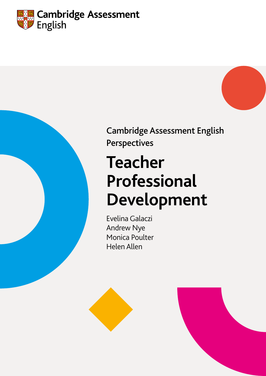



Cambridge Assessment English Perspectives

# **Teacher Professional Development**

Evelina Galaczi Andrew Nye Monica Poulter Helen Allen

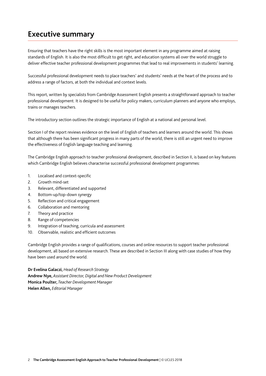## **Executive summary**

Ensuring that teachers have the right skills is the most important element in any programme aimed at raising standards of English. It is also the most difficult to get right, and education systems all over the world struggle to deliver effective teacher professional development programmes that lead to real improvements in students' learning.

Successful professional development needs to place teachers' and students' needs at the heart of the process and to address a range of factors, at both the individual and context levels.

This report, written by specialists from Cambridge Assessment English presents a straightforward approach to teacher professional development. It is designed to be useful for policy makers, curriculum planners and anyone who employs, trains or manages teachers.

The introductory section outlines the strategic importance of English at a national and personal level.

Section I of the report reviews evidence on the level of English of teachers and learners around the world. This shows that although there has been significant progress in many parts of the world, there is still an urgent need to improve the effectiveness of English language teaching and learning.

The Cambridge English approach to teacher professional development, described in Section II, is based on key features which Cambridge English believes characterise successful professional development programmes:

- 1. Localised and context-specific
- 2. Growth mind-set
- 3. Relevant, differentiated and supported
- 4. Bottom-up/top-down synergy
- 5. Reflection and critical engagement
- 6. Collaboration and mentoring
- 7. Theory and practice
- 8. Range of competencies
- 9. Integration of teaching, curricula and assessment
- 10. Observable, realistic and efficient outcomes

Cambridge English provides a range of qualifications, courses and online resources to support teacher professional development, all based on extensive research. These are described in Section III along with case studies of how they have been used around the world.

**Dr Evelina Galaczi,** *Head of Research Strategy* **Andrew Nye,** *Assistant Director, Digital and New Product Development* **Monica Poulter,** *Teacher Development Manager* **Helen Allen,** *Editorial Manager*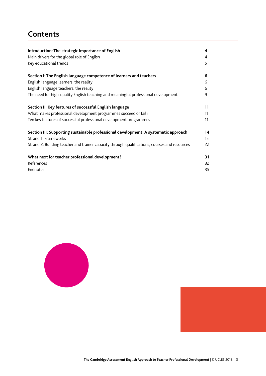## **Contents**

| Introduction: The strategic importance of English                                             | $\overline{\mathbf{4}}$ |
|-----------------------------------------------------------------------------------------------|-------------------------|
| Main drivers for the global role of English                                                   | $\overline{4}$          |
| Key educational trends                                                                        | 5                       |
| Section I: The English language competence of learners and teachers                           | 6                       |
| English language learners: the reality                                                        | 6                       |
| English language teachers: the reality                                                        | 6                       |
| The need for high-quality English teaching and meaningful professional development            | 9                       |
| Section II: Key features of successful English language                                       | 11                      |
| What makes professional development programmes succeed or fail?                               | 11                      |
| Ten key features of successful professional development programmes                            | 11                      |
| Section III: Supporting sustainable professional development: A systematic approach           | 14                      |
| Strand 1: Frameworks                                                                          | 15                      |
| Strand 2: Building teacher and trainer capacity through qualifications, courses and resources | 22                      |
| What next for teacher professional development?                                               | 31                      |
| References                                                                                    | 32                      |
| Endnotes                                                                                      | 35                      |



**The Cambridge Assessment English Approach to Teacher Professional Development** | © UCLES 2018 3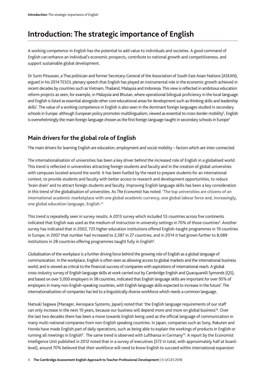## **Introduction: The strategic importance of English**

A working competence in English has the potential to add value to individuals and societies. A good command of English can enhance an individual's economic prospects, contribute to national growth and competitiveness, and support sustainable global development.

Dr Surin Pitsuwan, a Thai politician and former Secretary-General of the Association of South East Asian Nations (ASEAN), argued in his 2014 TESOL plenary speech that English has played an instrumental role in the economic growth achieved in recent decades by countries such as Vietnam, Thailand, Malaysia and Indonesia. This view is reflected in ambitious education reform projects as seen, for example, in Malaysia and Bhutan, where operational bilingual proficiency in the local language and English is listed as essential alongside other core educational areas for development such as thinking skills and leadership skills1 . The value of a working competence in English is also seen in the dominant foreign languages studied in secondary schools in Europe: although European policy promotes multilingualism, viewed as essential to cross-border mobility<sup>2</sup>, English is overwhelmingly the main foreign language chosen as the first foreign language taught in secondary schools in Europe<sup>3</sup>

## **Main drivers for the global role of English**

The main drivers for learning English are education, employment and social mobility – factors which are inter-connected.

The internationalisation of universities has been a key driver behind the increased role of English in a globalised world. This trend is reflected in universities attracting foreign students and faculty and in the creation of global universities with campuses located around the world. It has been fuelled by the need to prepare students for an international context, to provide students and faculty with better access to research and development opportunities, to reduce 'brain drain' and to attract foreign students and faculty. Improving English language skills has been a key consideration in this trend of the globalisation of universities. As *The Economist* has noted: 'The top universities are citizens of an international academic marketplace with one global academic currency, one global labour force and, increasingly, one global education language, English.'4

This trend is repeatedly seen in survey results. A 2013 survey which included 55 countries across five continents indicated that English was used as the medium of instruction in university settings in 70% of those countries<sup>5</sup>. Another survey has indicated that in 2002, 725 higher education institutions offered English-taught programmes in 19 countries in Europe; in 2007 that number had increased to 2,387 in 27 countries, and in 2014 it had grown further to 8,089 institutions in 28 countries offering programmes taught fully in English<sup>6</sup>.

Globalisation of the workplace is a further driving force behind the growing role of English as a global language of communication. In the workplace, English is often seen as allowing access to global markets and the international business world, and is viewed as critical to the financial success of companies with aspirations of international reach. A global cross-industry survey of English language skills at work carried out by Cambridge English and Quacquarelli Symonds (QS), and based on over 5,000 employers in 38 countries, indicated that English language skills are important for over 95% of employers in many non-English-speaking countries, with English language skills expected to increase in the future<sup>7</sup>. The internationalisation of companies has led to a linguistically diverse workforce which needs a common language.

Natsuki Segawa (Manager, Aerospace Systems, Japan) noted that 'the English language requirements of our staff can only increase in the next 10 years, because our business will depend more and more on global business'<sup>8</sup>. Over the last two decades there has been a move towards English being used as the official language of communication in many multi-national companies from non-English speaking countries. In Japan, companies such as Sony, Rakuten and Honda have made English part of daily operations, such as being able to explain the workings of products in English or running all meetings in English<sup>9</sup>. The same trend is observed with Lufthansa in Germany<sup>10</sup>. A report by the Economist Intelligence Unit published in 2012 noted that in a survey of executives (572 in total, with approximately half at boardlevel), around 70% believed that their workforce will need to know English to succeed within international expansion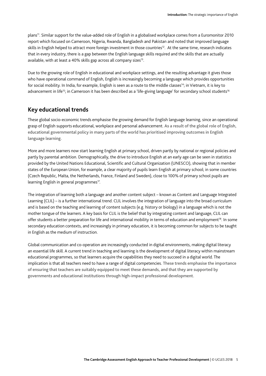plans11. Similar support for the value-added role of English in a globalised workplace comes from a Euromonitor 2010 report which focused on Cameroon, Nigeria, Rwanda, Bangladesh and Pakistan and noted that improved language skills in English helped to attract more foreign investment in those countries<sup>12</sup>. At the same time, research indicates that in every industry, there is a gap between the English language skills required and the skills that are actually available, with at least a 40% skills gap across all company sizes<sup>13</sup>.

Due to the growing role of English in educational and workplace settings, and the resulting advantage it gives those who have operational command of English, English is increasingly becoming a language which provides opportunities for social mobility. In India, for example, English is seen as a route to the middle classes<sup>14</sup>; in Vietnam, it is key to advancement in life<sup>15</sup>; in Cameroon it has been described as a 'life-giving language' for secondary school students<sup>16</sup>

### **Key educational trends**

These global socio-economic trends emphasise the growing demand for English language learning, since an operational grasp of English supports educational, workplace and personal advancement. As a result of the global role of English, educational governmental policy in many parts of the world has prioritised improving outcomes in English language learning.

More and more learners now start learning English at primary school, driven partly by national or regional policies and partly by parental ambition. Demographically, the drive to introduce English at an early age can be seen in statistics provided by the United Nations Educational, Scientific and Cultural Organization (UNESCO), showing that in member states of the European Union, for example, a clear majority of pupils learn English at primary school; in some countries (Czech Republic, Malta, the Netherlands, France, Finland and Sweden), close to 100% of primary school pupils are learning English in general programmes<sup>17</sup>.

The integration of learning both a language and another content subject – known as Content and Language Integrated Learning (CLIL) – is a further international trend. CLIL involves the integration of language into the broad curriculum and is based on the teaching and learning of content subjects (e.g. history or biology) in a language which is not the mother tongue of the learners. A key basis for CLIL is the belief that by integrating content and language, CLIL can offer students a better preparation for life and international mobility in terms of education and employment<sup>18</sup>. In some secondary education contexts, and increasingly in primary education, it is becoming common for subjects to be taught in English as the medium of instruction.

Global communication and co-operation are increasingly conducted in digital environments, making digital literacy an essential life skill. A current trend in teaching and learning is the development of digital literacy within mainstream educational programmes, so that learners acquire the capabilities they need to succeed in a digital world. The implication is that all teachers need to have a range of digital competencies. These trends emphasise the importance of ensuring that teachers are suitably equipped to meet these demands, and that they are supported by governments and educational institutions through high-impact professional development.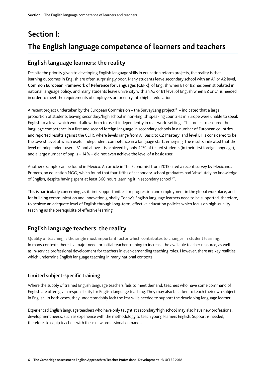## **Section I: The English language competence of learners and teachers**

## **English language learners: the reality**

Despite the priority given to developing English language skills in education reform projects, the reality is that learning outcomes in English are often surprisingly poor. Many students leave secondary school with an A1 or A2 level, Common European Framework of Reference for Languages (CEFR), of English when B1 or B2 has been stipulated in national language policy; and many students leave university with an A2 or B1 level of English when B2 or C1 is needed in order to meet the requirements of employers or for entry into higher education.

A recent project undertaken by the European Commission – the SurveyLang project<sup>19</sup> – indicated that a large proportion of students leaving secondary/high school in non-English speaking countries in Europe were unable to speak English to a level which would allow them to use it independently in real-world settings. The project measured the language competence in a first and second foreign language in secondary schools in a number of European countries and reported results against the CEFR, where levels range from A1 Basic to C2 Mastery, and level B1 is considered to be the lowest level at which useful independent competence in a language starts emerging. The results indicated that the level of independent user – B1 and above – is achieved by only 42% of tested students (in their first foreign language), and a large number of pupils – 14% – did not even achieve the level of a basic user.

Another example can be found in Mexico. An article in The Economist from 2015 cited a recent survey by Mexicanos Primero, an education NGO, which found that four-fifths of secondary-school graduates had 'absolutely no knowledge of English, despite having spent at least 360 hours learning it in secondary school'20.

This is particularly concerning, as it limits opportunities for progression and employment in the global workplace, and for building communication and innovation globally. Today's English language learners need to be supported, therefore, to achieve an adequate level of English through long-term, effective education policies which focus on high-quality teaching as the prerequisite of effective learning.

## **English language teachers: the reality**

Quality of teaching is the single most important factor which contributes to changes in student learning. In many contexts there is a major need for initial teacher training to increase the available teacher resource, as well as in-service professional development for teachers in ever-demanding teaching roles. However, there are key realities which undermine English language teaching in many national contexts

### **Limited subject-specific training**

Where the supply of trained English language teachers fails to meet demand, teachers who have some command of English are often given responsibility for English language teaching. They may also be asked to teach their own subject in English. In both cases, they understandably lack the key skills needed to support the developing language learner.

Experienced English language teachers who have only taught at secondary/high school may also have new professional development needs, such as experience with the methodology to teach young learners English. Support is needed, therefore, to equip teachers with these new professional demands.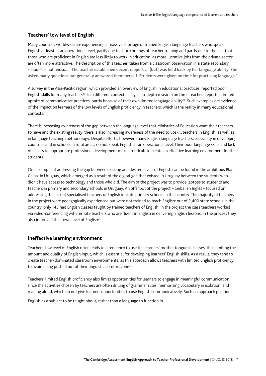#### **Teachers' low level of English**

Many countries worldwide are experiencing a massive shortage of trained English language teachers who speak English at least at an operational level, partly due to shortcomings of teacher training and partly due to the fact that those who are proficient in English are less likely to work in education, as more lucrative jobs from the private sector are often more attractive. The description of this teacher, taken from a classroom observation in a state secondary school<sup>21</sup>, is not unusual: 'The teacher established decent rapport ... [but] was held back by her language ability. She asked many questions but generally answered them herself. Students were given no time for practising language.'

A survey in the Asia-Pacific region, which provided an overview of English in educational practices, reported poor English skills for many teachers<sup>22</sup>. In a different context – Libya – in-depth research on three teachers reported limited uptake of communicative practices, partly because of their own limited language ability<sup>23</sup>. Such examples are evidence of the impact on learners of the low levels of English proficiency in teachers, which is the reality in many educational contexts.

There is increasing awareness of the gap between the language level that Ministries of Education want their teachers to have and the existing reality; there is also increasing awareness of the need to upskill teachers in English, as well as in language teaching methodology. Despite efforts, however, many English language teachers, especially in developing countries and in schools in rural areas, do not speak English at an operational level. Their poor language skills and lack of access to appropriate professional development make it difficult to create an effective learning environment for their students.

One example of addressing the gap between existing and desired levels of English can be found in the ambitious Plan Ceibal in Uruguay, which emerged as a result of the digital gap that existed in Uruguay between the students who didn't have access to technology and those who did. The aim of the project was to provide laptops to students and teachers in primary and secondary schools in Uruguay. An offshoot of the project – Ceibal en Inglés – focused on addressing the lack of specialised teachers of English in state primary schools in the country. The majority of teachers in the project were pedagogically experienced but were not trained to teach English: out of 2,400 state schools in the country, only 145 had English classes taught by trained teachers of English. In the project the class teachers worked via video-conferencing with remote teachers who are fluent in English in delivering English lessons; in the process they also improved their own level of English<sup>24</sup>.

#### **Ineffective learning environment**

Teachers' low level of English often leads to a tendency to use the learners' mother tongue in classes, thus limiting the amount and quality of English input, which is essential for developing learners' English skills. As a result, they tend to create teacher-dominated classroom environments, as this approach allows teachers with limited English proficiency to avoid being pushed out of their linguistic comfort zone<sup>25</sup>.

Teachers' limited English proficiency also limits opportunities for learners to engage in meaningful communication, since the activities chosen by teachers are often drilling of grammar rules, memorising vocabulary in isolation, and reading aloud, which do not give learners opportunities to use English communicatively. Such an approach positions

English as a subject to be taught about, rather than a language to function in.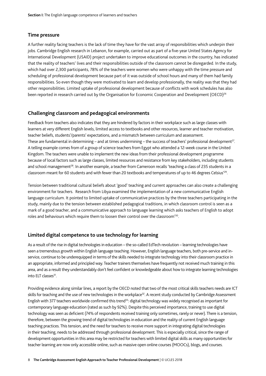#### **Time pressure**

A further reality facing teachers is the lack of time they have for the vast array of responsibilities which underpin their jobs. Cambridge English research in Lebanon, for example, carried out as part of a five-year United States Agency for International Development (USAID) project undertaken to improve educational outcomes in the country, has indicated that the reality of teachers' lives and their responsibilities outside of the classroom cannot be disregarded. In the study, which had over 2,300 participants, 78% of the teachers were women who were unhappy with the time pressure and scheduling of professional development because part of it was outside of school hours and many of them had family responsibilities. So even though they were motivated to learn and develop professionally, the reality was that they had other responsibilities. Limited uptake of professional development because of conflicts with work schedules has also been reported in research carried out by the Organisation for Economic Cooperation and Development (OECD)<sup>26</sup>

#### **Challenging classroom and pedagogical environments**

Feedback from teachers also indicates that they are hindered by factors in their workplace such as large classes with learners at very different English levels, limited access to textbooks and other resources, learner and teacher motivation, teacher beliefs, students'/parents' expectations, and a mismatch between curriculum and assessment. These are fundamental in determining – and at times undermining – the success of teachers' professional development<sup>27</sup>. A telling example comes from of a group of science teachers from Egypt who attended a 12-week course in the United Kingdom. The teachers were unable to implement the new ideas from their professional development programme because of local factors such as large classes, limited resources and resistance from key stakeholders, including students and school management<sup>28</sup>. In another example, a teacher from Cameroon recalls 'teaching a class of 235 students in a classroom meant for 60 students and with fewer than 20 textbooks and temperatures of up to 46 degrees Celsius'29.

Tension between traditional cultural beliefs about 'good' teaching and current approaches can also create a challenging environment for teachers. Research from Libya examined the implementation of a new communicative English language curriculum. It pointed to limited uptake of communicative practices by the three teachers participating in the study, mainly due to the tension between established pedagogical traditions, in which classroom control is seen as a mark of a good teacher, and a communicative approach to language learning which asks teachers of English to adopt roles and behaviours which require them to loosen their control over the classroom'30.

#### **Limited digital competence to use technology for learning**

As a result of the rise in digital technologies in education – the so-called EdTech revolution – learning technologies have seen a tremendous growth within English language teaching. However, English language teachers, both pre-service and inservice, continue to be underequipped in terms of the skills needed to integrate technology into their classroom practice in an appropriate, informed and principled way. Teacher trainers themselves have frequently not received much training in this area, and as a result they understandably don't feel confident or knowledgeable about how to integrate learning technologies into ELT classes<sup>31</sup>.

Providing evidence along similar lines, a report by the OECD noted that two of the most critical skills teachers needs are ICT skills for teaching and the use of new technologies in the workplace<sup>32</sup>. A recent study conducted by Cambridge Assessment English with 377 teachers worldwide confirmed this trend<sup>33</sup>: digital technology was widely recognised as important for contemporary language education (rated as such by 92%). Despite this perceived importance, training to use digital technology was seen as deficient (74% of respondents received training only sometimes, rarely or never). There is a tension, therefore, between the growing trend of digital technologies in education and the reality of current English language teaching practices. This tension, and the need for teachers to receive more support in integrating digital technologies in their teaching, needs to be addressed through professional development. This is especially critical, since the range of development opportunities in this area may be restricted for teachers with limited digital skills as many opportunities for teacher learning are now only accessible online, such as massive open online courses (MOOCs), blogs, and courses.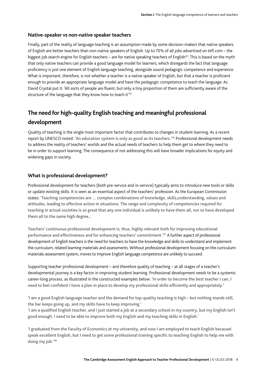#### **Native-speaker vs non-native speaker teachers**

Finally, part of the reality of language teaching is an assumption made by some decision-makers that native speakers of English are better teachers than non-native speakers of English. Up to 70% of all jobs advertised on tefl.com – the biggest job search engine for English teachers – are for native speaking teachers of English<sup>34</sup>. This is based on the myth that only native teachers can provide a good language model for learners, which disregards the fact that language proficiency is just one element of English language teaching, alongside sound pedagogic competence and experience. What is important, therefore, is not whether a teacher is a native speaker of English, but that a teacher is proficient enough to provide an appropriate language model and have the pedagogic competence to teach the language. As David Crystal put it: 'All sorts of people are fluent, but only a tiny proportion of them are sufficiently aware of the structure of the language that they know how to teach it<sup>135</sup>.

## **The need for high-quality English teaching and meaningful professional development**

Quality of teaching is the single most important factor that contributes to changes in student learning. As a recent report by UNESCO noted: 'An education system is only as good as its teachers.'36 Professional development needs to address the reality of teachers' worlds and the actual needs of teachers to help them get to where they need to be in order to support learning. The consequence of not addressing this will have broader implications for equity and widening gaps in society.

#### **What is professional development?**

Professional development for teachers (both pre-service and in-service) typically aims to introduce new tools or skills or update existing skills. It is seen as an essential aspect of the teachers' profession. As the European Commission states: 'Teaching competencies are … complex combinations of knowledge, skills,understanding, values and attitudes, leading to effective action in situations. The range and complexity of competencies required for teaching in actual societies is so great that any one individual is unlikely to have them all, nor to have developed them all to the same high degree...

Teachers' continuous professional development is, thus, highly relevant both for improving educational performance and effectiveness and for enhancing teachers' commitment.'37 A further aspect of professional development of English teachers is the need for teachers to have the knowledge and skills to understand and implement the curriculum, related learning materials and assessments. Without professional development focusing on the curriculummaterials-assessment system, moves to improve English language competence are unlikely to succeed.

Supporting teacher professional development – and therefore quality of teaching – at all stages of a teacher's developmental journey is a key factor in improving student learning. Professional development needs to be a systemic career-long process, as illustrated in the constructed examples below: 'In order to become the best teacher I can, I need to feel confident I have a plan in place to develop my professional skills efficiently and appropriately.'

'I am a good English language teacher and the demand for top-quality teaching is high – but nothing stands still, the bar keeps going up, and my skills have to keep improving.'

'I am a qualified English teacher, and I just started a job at a secondary school in my country, but my English isn't good enough. I need to be able to improve both my English and my teaching skills in English.'

'I graduated from the Faculty of Economics at my university, and now I am employed to teach English becauseI speak excellent English, but I need to get some professional training specific to teaching English to help me with doing my job.'38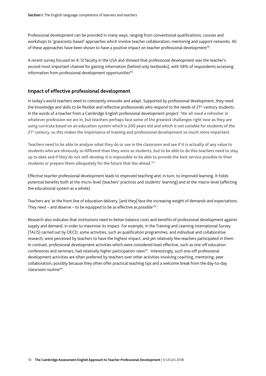Professional development can be provided in many ways, ranging from conventional qualifications, courses and workshops to 'grassroots-based' approaches which involve teacher collaboration, mentoring and support networks. All of these approaches have been shown to have a positive impact on teacher professional development<sup>39</sup>.

A recent survey focused on K-12 faculty in the USA and showed that professional development was the teacher's second most important channel for gaining information (behind only textbooks), with 58% of respondents accessing information from professional development opportunities<sup>40</sup>.

#### **Impact of effective professional development**

In today's world teachers need to constantly innovate and adapt. Supported by professional development, they need the knowledge and skills to be flexible and reflective professionals who respond to the needs of 21<sup>st</sup>-century students. In the words of a teacher from a Cambridge English professional development project: 'We all need a refresher in whatever profession we are in, but teachers perhaps face some of the greatest challenges right now as they are using curricula based on an education system which is 200 years old and which is not suitable for students of the 21<sup>st</sup> century, so this makes the importance of training and professional development so much more important.

Teachers need to be able to analyse what they do or use in the classroom and see if it is actually of any value to students who are obviously so different than they were as students, but to be able to do this teachers need to stay up to date and if they do not self-develop it is impossible to be able to provide the best service possible to their students or prepare them adequately for the future that lies ahead.<sup>141</sup>

Effective teacher professional development leads to improved teaching and, in turn, to improved learning. It holds potential benefits both at the micro-level (teachers' practices and students' learning) and at the macro-level (affecting the educational system as a whole).

Teachers are 'at the front line of education delivery, [and they] face the increasing weight of demands and expectations. They need – and deserve – to be equipped to be as effective as possible<sup>'42</sup>.

Research also indicates that institutions need to better balance costs and benefits of professional development against supply and demand, in order to maximise its impact. For example, in the Training and Learning International Survey (TALIS) carried out by OECD, some activities, such as qualification programmes, and individual and collaborative research, were perceived by teachers to have the highest impact, and yet relatively few teachers participated in them. In contrast, professional development activities which were considered least effective, such as one-off education conferences and seminars, had relatively higher participation rates<sup>43</sup>. Interestingly, such one-off professional development activities are often preferred by teachers over other activities involving coaching, mentoring, peer collaboration, possibly because they often offer practical teaching tips and a welcome break from the day-to-day classroom routine44.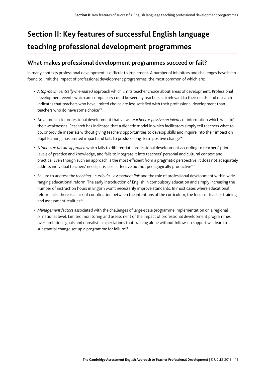## **Section II: Key features of successful English language teaching professional development programmes**

## **What makes professional development programmes succeed or fail?**

In many contexts professional development is difficult to implement. A number of inhibitors and challenges have been found to limit the impact of professional development programmes, the most common of which are:

- *A top-down centrally-mandated* approach which limits teacher choice about areas of development. Professional development events which are compulsory could be seen by teachers as irrelevant to their needs, and research indicates that teachers who have limited choice are less satisfied with their professional development than teachers who do have some choice<sup>45</sup>.
- An approach to professional development that views *teachers as passive recipients* of information which will 'fix' their weaknesses. Research has indicated that a didactic model in which facilitators simply tell teachers what to do, or provide materials without giving teachers opportunities to develop skills and inquire into their impact on pupil learning, has limited impact and fails to produce long-term positive change<sup>46</sup>.
- A *'one-size fits all' approach* which fails to differentiate professional development according to teachers' prior levels of practice and knowledge, and fails to integrate it into teachers' personal and cultural context and practice. Even though such an approach is the most efficient from a pragmatic perspective, it does not adequately address individual teachers' needs; it is 'cost-effective but not pedagogically productive'47.
- Failure to address the *teaching curricula assessment link* and the role of professional development within wideranging educational reform. The early introduction of English in compulsory education and simply increasing the number of instruction hours in English won't necessarily improve standards. In most cases where educational reform fails, there is a lack of coordination between the intentions of the curriculum, the focus of teacher training and assessment realities<sup>48</sup>.
- *Management factors* associated with the challenges of large-scale programme implementation on a regional or national level. Limited monitoring and assessment of the impact of professional development programmes, over-ambitious goals and unrealistic expectations that training alone without follow-up support will lead to substantial change set up a programme for failure<sup>49</sup>.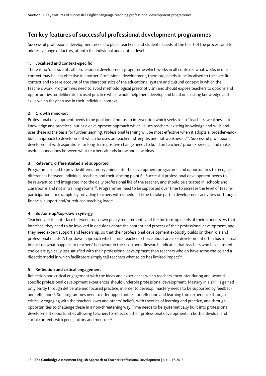### **Ten key features of successful professional development programmes**

Successful professional development needs to place teachers' and students' needs at the heart of the process and to address a range of factors, at both the individual and context level.

#### **1. Localised and context-specific**

There is no 'one-size fits all' professional development programme which works in all contexts; what works in one context may be less effective in another. Professional development, therefore, needs to be localised to the specific context and to take account of the characteristics of the educational system and cultural context in which the teachers work. Programmes need to avoid methodological prescriptivism and should expose teachers to options and opportunities for deliberate focused practice which would help them develop and build on existing knowledge and skills which they can use in their individual context.

#### **2. Growth mind-set**

Professional development needs to be positioned not as an intervention which seeks to 'fix' teachers' weaknesses in knowledge and practices, but as a development approach which values teachers' existing knowledge and skills and uses these as the basis for further learning. Professional learning will be most effective when it adopts a 'broaden-andbuild' approach to development which focuses on teachers' strengths and not weaknesses<sup>50</sup>. Successful professional development with aspirations for long-term positive change needs to build on teachers' prior experience and make useful connections between what teachers already know and new ideas.

#### **3. Relevant, differentiated and supported**

Programmes need to provide different entry points into the development programme and opportunities to recognise differences between individual teachers and their starting points<sup>51</sup>. Successful professional development needs to be relevant to and integrated into the daily professional life of the teacher, and should be situated in 'schools and classrooms and not in training rooms'52. Programmes need to be supported over time to increase the level of teacher participation, for example by providing teachers with scheduled time to take part in development activities or through financial support and/or reduced teaching load<sup>53</sup>.

#### **4. Bottom-up/top-down synergy**

Teachers are the interface between top-down policy requirements and the bottom-up needs of their students. As that interface, they need to be involved in decisions about the content and process of their professional development, and they need expert support and leadership, so that their professional development explicitly builds on their role and professional needs. A top-down approach which limits teachers' choice about areas of development often has minimal impact on what happens to teachers' behaviour in the classroom. Research indicates that teachers who have limited choice are typically less satisfied with their professional development than teachers who do have some choice and a didactic model in which facilitators simply tell teachers what to do has limited impact<sup>54</sup>.

#### **5. Reflection and critical engagement**

Reflection and critical engagement with the ideas and experiences which teachers encounter during and beyond specific professional development experiences should underpin professional development. Mastery in a skill is gained only partly through deliberate and focused practice; in order to develop, mastery needs to be supported by feedback and reflection<sup>55</sup>. So, programmes need to offer opportunities for reflection and learning from experience through critically engaging with the teachers' own and others' beliefs, with theories of learning and practice, and through opportunities to challenge these in a non-threatening way. Time needs to be systematically built into professional development opportunities allowing teachers to reflect on their professional development, in both individual and social contexts with peers, tutors and mentors<sup>56</sup>.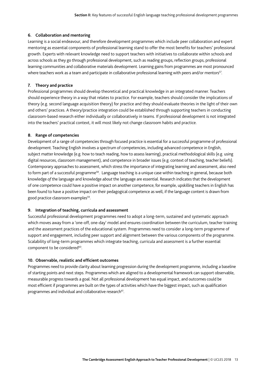#### **6. Collaboration and mentoring**

Learning is a social endeavour, and therefore development programmes which include peer collaboration and expert mentoring as essential components of professional learning stand to offer the most benefits for teachers' professional growth. Experts with relevant knowledge need to support teachers with initiatives to collaborate within schools and across schools as they go through professional development, such as reading groups, reflection groups, professional learning communities and collaborative materials development. Learning gains from programmes are most pronounced where teachers work as a team and participate in collaborative professional learning with peers and/or mentors<sup>57</sup>.

#### **7. Theory and practice**

Professional programmes should develop theoretical and practical knowledge in an integrated manner. Teachers should experience theory in a way that relates to practice. For example, teachers should consider the implications of theory (e.g. second language acquisition theory) for practice and they should evaluate theories in the light of their own and others' practices. A theory/practice integration could be established through supporting teachers in conducting classroom-based research either individually or collaboratively in teams. If professional development is not integrated into the teachers' practical context, it will most likely not change classroom habits and practice.

#### **8. Range of competencies**

Development of a range of competencies through focused practice is essential for a successful programme of professional development. Teaching English involves a spectrum of competencies, including advanced competence in English, subject matter knowledge (e.g. how to teach reading, how to assess learning), practical methodological skills (e.g. using digital resources, classroom management), and competence in broader issues (e.g. context of teaching, teacher beliefs). Contemporary approaches to assessment, which stress the importance of integrating learning and assessment, also need to form part of a successful programme<sup>58</sup>. Language teaching is a unique case within teaching in general, because both knowledge *of* the language and knowledge *about* the language are essential. Research indicates that the development of one competence could have a positive impact on another competence; for example, upskilling teachers in English has been found to have a positive impact on their pedagogical competence as well, if the language content is drawn from good practice classroom examples<sup>59</sup>.

#### **9. Integration of teaching, curricula and assessment**

Successful professional development programmes need to adopt a long-term, sustained and systematic approach which moves away from a 'one-off, one-day' model and ensures coordination between the curriculum, teacher training and the assessment practices of the educational system. Programmes need to consider a long-term programme of support and engagement, including peer support and alignment between the various components of the programme. Scalability of long-term programmes which integrate teaching, curricula and assessment is a further essential component to be considered<sup>60</sup>.

#### **10. Observable, realistic and efficient outcomes**

Programmes need to provide clarity about learning progression during the development programme, including a baseline of starting points and next steps. Programmes which are aligned to a developmental framework can support observable, measurable progress towards a goal. Not all professional development has equal impact, and outcomes could be most efficient if programmes are built on the types of activities which have the biggest impact, such as qualification programmes and individual and collaborative research<sup>61</sup>.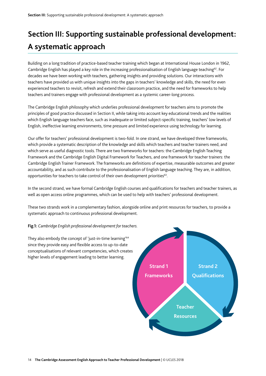## **Section III: Supporting sustainable professional development: A systematic approach**

Building on a long tradition of practice-based teacher training which began at International House London in 1962, Cambridge English has played a key role in the increasing professionalisation of English language teaching<sup>62</sup>. For decades we have been working with teachers, gathering insights and providing solutions. Our interactions with teachers have provided us with unique insights into the gaps in teachers' knowledge and skills, the need for even experienced teachers to revisit, refresh and extend their classroom practice, and the need for frameworks to help teachers and trainers engage with professional development as a systemic career-long process.

The Cambridge English philosophy which underlies professional development for teachers aims to promote the principles of good practice discussed in Section II, while taking into account key educational trends and the realities which English language teachers face, such as inadequate or limited subject-specific training, teachers' low levels of English, ineffective learning environments, time pressure and limited experience using technology for learning.

Our offer for teachers' professional development is two-fold. In one strand, we have developed three frameworks, which provide a systematic description of the knowledge and skills which teachers and teacher trainers need, and which serve as useful diagnostic tools. There are two frameworks for teachers: the Cambridge English Teaching Framework and the Cambridge English Digital Framework for Teachers, and one framework for teacher trainers: the Cambridge English Trainer Framework. The frameworks are definitions of expertise, measurable outcomes and greater accountability, and as such contribute to the professionalisation of English language teaching. They are, in addition, opportunities for teachers to take control of their own development priorities<sup>63</sup>.

In the second strand, we have formal Cambridge English courses and qualifications for teachers and teacher trainers, as well as open access online programmes, which can be used to help with teachers' professional development.

These two strands work in a complementary fashion, alongside online and print resources for teachers, to provide a systematic approach to continuous professional development.

#### **Fig.1:** *Cambridge English professional development for teachers.*

They also embody the concept of 'just-in-time learning'64 since they provide easy and flexible access to up-to-date conceptualisations of relevant competencies, which creates higher levels of engagement leading to better learning.

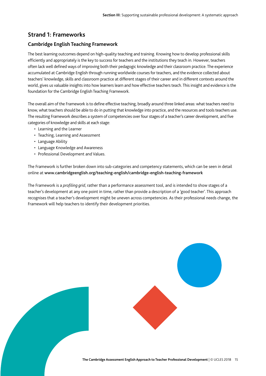### **Strand 1: Frameworks**

#### **Cambridge English Teaching Framework**

The best learning outcomes depend on high-quality teaching and training. Knowing how to develop professional skills efficiently and appropriately is the key to success for teachers and the institutions they teach in. However, teachers often lack well defined ways of improving both their pedagogic knowledge and their classroom practice. The experience accumulated at Cambridge English through running worldwide courses for teachers, and the evidence collected about teachers' knowledge, skills and classroom practice at different stages of their career and in different contexts around the world, gives us valuable insights into how learners learn and how effective teachers teach. This insight and evidence is the foundation for the Cambridge English Teaching Framework.

The overall aim of the Framework is to define effective teaching, broadly around three linked areas: what teachers need to know, what teachers should be able to do in putting that knowledge into practice, and the resources and tools teachers use. The resulting Framework describes a system of competencies over four stages of a teacher's career development, and five categories of knowledge and skills at each stage:

- Learning and the Learner
- Teaching, Learning and Assessment
- Language Ability
- Language Knowledge and Awareness
- Professional Development and Values.

The Framework is further broken down into sub-categories and competency statements, which can be seen in detail online at www.cambridgeenglish.org/teaching-english/cambridge-english-teaching-framework

The Framework is a *profiling grid*, rather than a performance assessment tool, and is intended to show stages of a teacher's development at any one point in time, rather than provide a description of a 'good teacher'. This approach recognises that a teacher's development might be uneven across competencies. As their professional needs change, the Framework will help teachers to identify their development priorities.

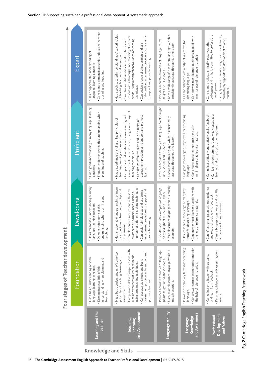| Expert            | . Consistently demonstrates this understanding when<br>· Has a sophisticated understanding of<br>language-learning concepts.<br>planning and teaching. | . Has a sophisticated understanding of key principles<br>individualised assessment procedures consistently<br>lessons with a thorough understanding of learners'<br>needs, using a comprehensive range of teaching<br>Can plan and deliver detailed and sophisticated<br>Can design a range of effective tests and use<br>of teaching, learning and assessment<br>to support and promote learning.<br>techniques. | Uses a wide range of classroom language which is<br>· Provides accurate examples of language points<br>consistently accurate throughout the lesson.<br>taught at A1-C2 levels. | · Can answer most learner questions in detail with<br>. Has sophisticated knowledge of key terms for<br>minimal use of reference materials.<br>describing language. | colleagues and is highly committed to professional<br>. Is highly aware of own strengths and weaknesses,<br>and actively supports the development of other<br>Consistently reflects critically, observes other<br>development.<br>teachers. |
|-------------------|--------------------------------------------------------------------------------------------------------------------------------------------------------|-------------------------------------------------------------------------------------------------------------------------------------------------------------------------------------------------------------------------------------------------------------------------------------------------------------------------------------------------------------------------------------------------------------------|--------------------------------------------------------------------------------------------------------------------------------------------------------------------------------|---------------------------------------------------------------------------------------------------------------------------------------------------------------------|---------------------------------------------------------------------------------------------------------------------------------------------------------------------------------------------------------------------------------------------|
| Proficient        | . Has a good understanding of many language-learning<br>· Frequently demonstrates this understanding when<br>planning and teaching.<br>concepts.       | awareness of learners' needs, using a wide range of<br>assessment procedures to support and promote<br>. Can plan and deliver detailed lessons with good<br>. Has a good understanding of key principles of<br>· Can design effective tests and use a range of<br>teaching, learning and assessment<br>teaching techniques.<br>learning.                                                                          | · Provides accurate examples of language points taught<br>• Uses classroom language which is consistently<br>accurate throughout the lesson.<br>at A1, A2, B1 and B2 levels.   | . Has good knowledge of key terms for describing<br>• Can answer most learner questions with<br>minimal use of reference materials.<br>language.                    | · Can reflect critically and actively seeks feedback.<br>· Can identify own strengths and weaknesses as a<br>teacher, and can support other teachers.                                                                                       |
| <b>Developing</b> | . Has a reasonable understanding of many<br>understanding when planning and<br>language-learning concepts.<br>• Demonstrates some of this<br>teaching. | . Has a reasonable understanding of many<br>number of different teaching techniques<br>. Can plan and deliver lessons with some<br>key principles of teaching, learning and<br>assessment procedures to support and<br>· Can design simple tests and use some<br>awareness of learners' needs, using a<br>learning.<br>assessment<br>promote                                                                      | · Uses classroom language which is mostly<br>· Provides accurate examples of language<br>points taught at A1, A2 and B1 levels.<br>accurate.                                   | · Can answer most learner questions with<br>· Has reasonable knowledge of many key<br>the help of reference materials.<br>describing language.<br>terms for         | Can reflect on a lesson without guidance<br>· Can self-assess own needs and identify<br>and respond positively to feedback.<br>some areas for improvement.                                                                                  |
| Foundation        | . Has a basic understanding of some<br>understanding when planning and<br>language-learning concepts.<br>• Demonstrates a little of this<br>teaching.  | . Can plan and deliver simple lessons with<br>. Has a basic understanding of some key<br>assessment procedures to support and<br>a basic awareness of learners' needs,<br>principles of teaching, learning and<br>. Can use available tests and basic<br>using core teaching techniques<br>promote learning.<br>assessment.                                                                                       | · Provides accurate examples of language<br>· Uses basic classroom language which is<br>points taught at A1 and A2 levels.<br>mostly accurate.                                 | · Can answer simple learner questions with<br>· Is aware of some key terms for describing<br>the help of reference materials.<br>language.                          | · Requires guidance in self-assessing own<br>Can reflect on a lesson with guidance<br>and learn from feedback.<br>needs.                                                                                                                    |
|                   | Learning and the<br>Learner                                                                                                                            | and Assessment<br>Teaching,<br>Learning                                                                                                                                                                                                                                                                                                                                                                           | Language Ability                                                                                                                                                               | and Awareness<br>Knowledge<br>Language                                                                                                                              | <b>Development</b><br>Professional<br>and Values                                                                                                                                                                                            |

**Knowledge and Skills**

Fig.2 Cambridge English Teaching Framework

Fig.2 Cambridge English Teaching Framework

**Four stages of Teacher development**

Four stages of Teacher development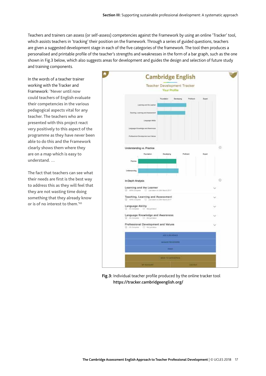Teachers and trainers can assess (or self-assess) competencies against the Framework by using an online 'Tracker' tool, which assists teachers in 'tracking' their position on the framework. Through a series of guided questions, teachers are given a suggested development stage in each of the five categories of the framework. The tool then produces a personalised and printable profile of the teacher's strengths and weaknesses in the form of a bar graph, such as the one shown in Fig.3 below, which also suggests areas for development and guides the design and selection of future study and training components.

In the words of a teacher trainer working with the Tracker and Framework: 'Never until now could teachers of English evaluate their competencies in the various pedagogical aspects vital for any teacher. The teachers who are presented with this project react very positively to this aspect of the programme as they have never been able to do this and the Framework clearly shows them where they are on a map which is easy to understand. …

The fact that teachers can see what their needs are first is the best way to address this as they will feel that they are not wasting time doing something that they already know or is of no interest to them.'65



**Fig.3:** Individual teacher profile produced by the online tracker tool https://tracker.cambridgeenglish.org/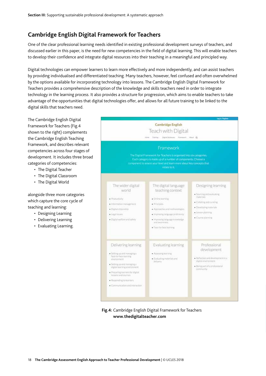## **Cambridge English Digital Framework for Teachers**

One of the clear professional learning needs identified in existing professional development surveys of teachers, and discussed earlier in this paper, is the need for new competencies in the field of digital learning. This will enable teachers to develop their confidence and integrate digital resources into their teaching in a meaningful and principled way.

Digital technologies can empower learners to learn more effectively and more independently, and can assist teachers by providing individualised and differentiated teaching. Many teachers, however, feel confused and often overwhelmed by the options available for incorporating technology into lessons. The Cambridge English Digital Framework for Teachers provides a comprehensive description of the knowledge and skills teachers need in order to integrate technology in the learning process. It also provides a structure for progression, which aims to enable teachers to take advantage of the opportunities that digital technologies offer, and allows for all future training to be linked to the digital skills that teachers need.

The Cambridge English Digital Framework for Teachers (Fig.4 shown to the right) complements the Cambridge English Teaching Framework, and describes relevant competencies across four stages of development. It includes three broad categories of competencies:

- The Digital Teacher
- The Digital Classroom
- The Digital World

alongside three more categories which capture the core cycle of teaching and learning:

- Designing Learning
- Delivering Learning
- Evaluating Learning.



**Fig.4:** Cambridge English Digital Framework for Teachers **www.thedigitalteacher.com**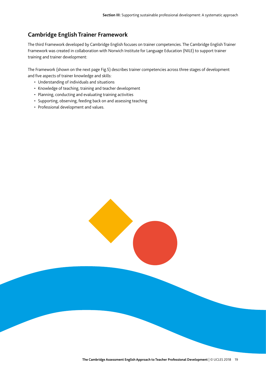## **Cambridge English Trainer Framework**

The third Framework developed by Cambridge English focuses on trainer competencies. The Cambridge English Trainer Framework was created in collaboration with Norwich Institute for Language Education (NILE) to support trainer training and trainer development:

The Framework (shown on the next page Fig.5) describes trainer competencies across three stages of development and five aspects of trainer knowledge and skills:

- Understanding of individuals and situations
- Knowledge of teaching, training and teacher development
- Planning, conducting and evaluating training activities
- Supporting, observing, feeding back on and assessing teaching
- Professional development and values.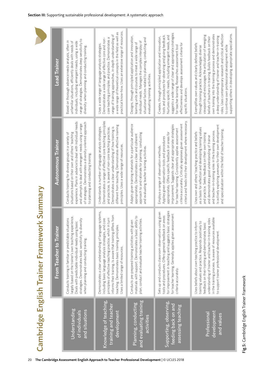|                                                                     | ♪ - http://www.com/math.com/http://www.com/http://www.com/http://www.com/http://                                                                                                                                                                                                                                                        |                                                                                                                                                                                                                                                                                                                                                                                                         |                                                                                                                                                                                                                                                                                                                                                                                                                                                                                                                               |
|---------------------------------------------------------------------|-----------------------------------------------------------------------------------------------------------------------------------------------------------------------------------------------------------------------------------------------------------------------------------------------------------------------------------------|---------------------------------------------------------------------------------------------------------------------------------------------------------------------------------------------------------------------------------------------------------------------------------------------------------------------------------------------------------------------------------------------------------|-------------------------------------------------------------------------------------------------------------------------------------------------------------------------------------------------------------------------------------------------------------------------------------------------------------------------------------------------------------------------------------------------------------------------------------------------------------------------------------------------------------------------------|
|                                                                     | From Teacher to Trainer                                                                                                                                                                                                                                                                                                                 | <b>Autonomous Trainer</b>                                                                                                                                                                                                                                                                                                                                                                               | <b>Lead Trainer</b>                                                                                                                                                                                                                                                                                                                                                                                                                                                                                                           |
| Understanding<br>and situations<br>of individuals                   | largely based on the trainer's own teaching experience.<br>Conducts training in familiar or predictable situations<br>strategies. Demonstrates basic sensitivity to diversity<br>Deals with predictable individual needs using basic<br>when planning and conducting training.                                                          | experience. Plans in advance to deal with individual needs<br>of strategies. Demonstrates a diversity-oriented approach<br>and attempts to deal with emergent needs using a range<br>Conducts training for diverse groups in a variety of<br>situations based on their own and others' teaching<br>to planning and conducting training.                                                                 | range of strategies. Demonstrates deep sensitivity to<br>Based on thorough advance needs analysis, often in<br>individuals, including emergent needs, using a wide<br>unfamiliar situations, efficiently deals with needs of<br>diversity when planning and conducting training.                                                                                                                                                                                                                                              |
| Knowledge of teaching,<br>training and teacher<br>development       | Demonstrates a clear understanding of language systems,<br>informs their training. Is aware that training differs from<br>including basic language analysis strategies, and core<br>principles of effective teaching practice, which in turn<br>teaching. Demonstrates basic training principles.<br>Uses a limited range of resources. | Demonstrates a range of effective core teaching principles<br>different from teaching. Demonstrates effective training<br>Understands a number of language analysis strategies.<br>Demonstrates a clear understanding of how training is<br>and practices. Is aware of non-core teaching practices.<br>principles. Uses a wide range of resources                                                       | practical know-how. Uses an extensive range of resources<br>a wide range of theoretical concepts in the field as well as<br>range of training approaches, in-depth understanding of<br>core teaching principles and practice. Demonstrates a<br>Demonstrates a wide range of effective core and non-<br>Uses a wide range of language analysis strategies.                                                                                                                                                                    |
| and evaluating training<br>Planning, conducting<br>activities       | ability to<br>plan, conduct and evaluate teacher training activities.<br>given<br>Conducts pre-prepared training activities with<br>materials with support. Demonstrates a basic                                                                                                                                                        | Adapts given training materials for a particular audience<br>approach to and rationale for planning, conducting<br>appropriately. Demonstrates a clear and coherent<br>and evaluating teacher training activities                                                                                                                                                                                       | Designs, through principled application and innovation,<br>situational factors related to planning, conducting and<br>individual needs. Manages the complex interplay of<br>learning units and courses to meet a wide range of<br>evaluating training activities.                                                                                                                                                                                                                                                             |
| Supporting, observing,<br>feeding back on and<br>assessing teaching | for improvement in teaching and suggests basic strategies<br>using given<br>for teacher learning. Generally applies given assessment<br>on areas<br>Sets up and conducts classroom observations<br>tools and procedures. Offers general feedback<br>criteria accurately.                                                                | criteria and feeds into their development where necessary.<br>criteria accurately. Critically appraises given assessment<br>improvement. Suggests clear and appropriate strategies<br>for teacher learning. Consistently applies assessment<br>appropriately. Offers specific feedback on areas for<br>Applies given observation tools and procedures<br>Employs a range of observation methods.        | suggests a wide range of clear and appropriate strategies<br>Nurtures specific needs, including emergent needs, and<br>tools and procedures for observing and giving feedback.<br>Creates, through principled application and innovation,<br>effectiveness and develops assessment criteria for<br>for teacher learning. Researches assessment tool<br>specific situations.                                                                                                                                                   |
| development<br>Professional<br>and values                           | in the training process. Is aware of resources available<br>understanding of trainer and teacher-in-training roles<br>training values and practice. Responds positively to<br>Uses beliefs about own teaching practice to inform<br>feedback on their training and demonstrates basic<br>to support trainer professional development.   | Is actively exploring avenues for their own development<br>as a basis for reflection and developing training values<br>and specialisation within the field of teacher training.<br>and teacher-in-training roles in the training process.<br>Uses own and others' teaching practice and beliefs<br>and practice. Seeks feedback on their own training<br>and demonstrates good understanding of trainer | roles. Uses contemporary research and critical reflection<br>supporting others in developing appropriate specialisms.<br>own training into the training process and demonstrates<br>viewpoints and encourages the articulation of emerging<br>a deep understanding of trainer and teacher-in-training<br>beliefs of teachers-in-training. Builds feedback on their<br>Exemplifies own values and clearly defined beliefs<br>to continue own professional development while<br>through training practice. Acknowledges diverse |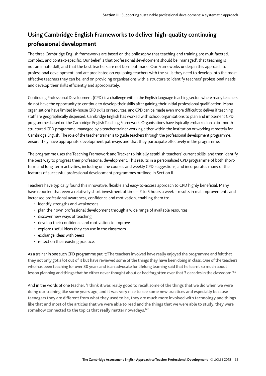## **Using Cambridge English Frameworks to deliver high-quality continuing professional development**

The three Cambridge English frameworks are based on the philosophy that teaching and training are multifaceted, complex, and context-specific. Our belief is that professional development should be 'managed', that teaching is not an innate skill, and that the best teachers are not born but made. Our Frameworks underpin this approach to professional development, and are predicated on equipping teachers with the skills they need to develop into the most effective teachers they can be, and on providing organisations with a structure to identify teachers' professional needs and develop their skills efficiently and appropriately.

Continuing Professional Development (CPD) is a challenge within the English language teaching sector, where many teachers do not have the opportunity to continue to develop their skills after gaining their initial professional qualification. Many organisations have limited in-house CPD skills or resources, and CPD can be made even more difficult to deliver if teaching staff are geographically dispersed. Cambridge English has worked with school organisations to plan and implement CPD programmes based on the Cambridge English Teaching Framework. Organisations have typically embarked on a six-month structured CPD programme, managed by a teacher trainer working either within the institution or working remotely for Cambridge English. The role of the teacher trainer is to guide teachers through the professional development programme, ensure they have appropriate development pathways and that they participate effectively in the programme.

The programme uses the Teaching Framework and Tracker to initially establish teachers' current skills, and then identify the best way to progress their professional development. This results in a personalised CPD programme of both shortterm and long-term activities, including online courses and weekly CPD suggestions, and incorporates many of the features of successful professional development programmes outlined in Section II.

Teachers have typically found this innovative, flexible and easy-to-access approach to CPD highly beneficial. Many have reported that even a relatively short investment of time – 2 to 5 hours a week – results in real improvements and increased professional awareness, confidence and motivation, enabling them to:

- identify strengths and weaknesses
- plan their own professional development through a wide range of available resources
- discover new ways of teaching
- develop their confidence and motivation to improve
- explore useful ideas they can use in the classroom
- exchange ideas with peers
- reflect on their existing practice.

As a trainer in one such CPD programme put it:'The teachers involved have really enjoyed the programme and felt that they not only got a lot out of it but have reviewed some of the things they have been doing in class. One of the teachers who has been teaching for over 30 years and is an advocate for lifelong learning said that he learnt so much about lesson planning and things that he either never thought about or had forgotten over that 3 decades in the classroom.<sup>166</sup>

And in the words of one teacher: 'I think it was really good to recall some of the things that we did when we were doing our training like some years ago, and it was very nice to see some new practices and especially because teenagers they are different from what they used to be, they are much more involved with technology and things like that and most of the articles that we were able to read and the things that we were able to study, they were somehow connected to the topics that really matter nowadays.<sup>167</sup>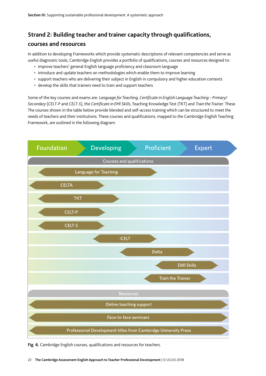## **Strand 2: Building teacher and trainer capacity through qualifications,**

### **courses and resources**

In addition to developing Frameworks which provide systematic descriptions of relevant competencies and serve as useful diagnostic tools, Cambridge English provides a portfolio of qualifications, courses and resources designed to:

- improve teachers' general English language proficiency and classroom language
- introduce and update teachers on methodologies which enable them to improve learning
- support teachers who are delivering their subject in English in compulsory and higher education contexts
- develop the skills that trainers need to train and support teachers.

Some of the key courses and exams are: *Language for Teaching, Certificate in English Language Teaching – Primary/*<br>Some of the key courses and exams are: *Language for Teaching, Certificate in English Language Teaching – Secondary* (*CELT-P* and *CELT-S*), the *Certificate in EMI Skills*, Teaching Knowledge Test (TKT) and *Train the Trainer*. These The courses shown in the table below provide blended and self-access training which can be structured to meet the Intercourses shown in the table below provide blended and self-access training when can be stractured to meet the<br>needs of teachers and their institutions. These courses and qualifications, mapped to the Cambridge English Framework, are outlined in the following diagram:



**Fig. 6.** Cambridge English courses, qualifications and resources for teachers.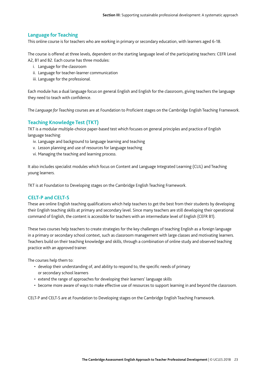#### **Language for Teaching**

This online course is for teachers who are working in primary or secondary education, with learners aged 6-18.

The course is offered at three levels, dependent on the starting language level of the participating teachers: CEFR Level A2, B1 and B2. Each course has three modules:

- i. Language for the classroom
- ii. Language for teacher-learner communication
- iii. Language for the professional.

Each module has a dual language focus on general English and English for the classroom, giving teachers the language they need to teach with confidence.

The *Language for Teaching* courses are at Foundation to Proficient stages on the Cambridge English Teaching Framework.

#### **Teaching Knowledge Test (TKT)**

TKT is a modular multiple-choice paper-based test which focuses on general principles and practice of English language teaching:

- iv. Language and background to language learning and teaching
- v. Lesson planning and use of resources for language teaching
- vi. Managing the teaching and learning process.

It also includes specialist modules which focus on Content and Language Integrated Learning (CLIL) and Teaching young learners.

TKT is at Foundation to Developing stages on the Cambridge English Teaching Framework.

#### **CELT-P and CELT-S**

These are online English teaching qualifications which help teachers to get the best from their students by developing their English teaching skills at primary and secondary level. Since many teachers are still developing their operational command of English, the content is accessible for teachers with an intermediate level of English (CEFR B1).

These two courses help teachers to create strategies for the key challenges of teaching English as a foreign language in a primary or secondary school context, such as classroom management with large classes and motivating learners. Teachers build on their teaching knowledge and skills, through a combination of online study and observed teaching practice with an approved trainer.

The courses help them to:

- develop their understanding of, and ability to respond to, the specific needs of primary or secondary school learners
- extend the range of approaches for developing their learners' language skills
- become more aware of ways to make effective use of resources to support learning in and beyond the classroom.

CELT-P and CELT-S are at Foundation to Developing stages on the Cambridge English Teaching Framework.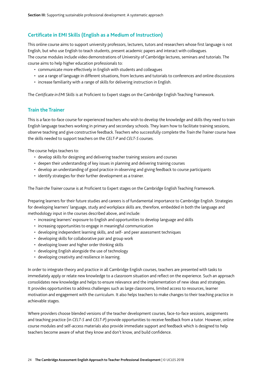### **Certificate in EMI Skills (English as a Medium of Instruction)**

This online course aims to support university professors, lecturers, tutors and researchers whose first language is not English, but who use English to teach students, present academic papers and interact with colleagues.

The course modules include video demonstrations of University of Cambridge lectures, seminars and tutorials. The course aims to help higher education professionals to:

- communicate more effectively in English with students and colleagues
- use a range of language in different situations, from lectures and tutorials to conferences and online discussions
- increase familiarity with a range of skills for delivering instruction in English.

The *Certificate in EMI Skills* is at Proficient to Expert stages on the Cambridge English Teaching Framework.

#### **Train the Trainer**

This is a face-to-face course for experienced teachers who wish to develop the knowledge and skills they need to train English language teachers working in primary and secondary schools. They learn how to facilitate training sessions, observe teaching and give constructive feedback. Teachers who successfully complete the *Train the Trainer* course have the skills needed to support teachers on the *CELT-P* and *CELT-S* courses.

The course helps teachers to:

- develop skills for designing and delivering teacher training sessions and courses
- deepen their understanding of key issues in planning and delivering training courses
- develop an understanding of good practice in observing and giving feedback to course participants
- identify strategies for their further development as a trainer.

The *Train the Trainer* course is at Proficient to Expert stages on the Cambridge English Teaching Framework.

Preparing learners for their future studies and careers is of fundamental importance to Cambridge English. Strategies for developing learners' language, study and workplace skills are, therefore, embedded in both the language and methodology input in the courses described above, and include:

- increasing learners' exposure to English and opportunities to develop language and skills
- increasing opportunities to engage in meaningful communication
- developing independent learning skills, and self- and peer assessment techniques
- developing skills for collaborative pair and group work
- developing lower and higher order thinking skills
- developing English alongside the use of technology
- developing creativity and resilience in learning.

In order to integrate theory and practice in all Cambridge English courses, teachers are presented with tasks to immediately apply or relate new knowledge to a classroom situation and reflect on the experience. Such an approach consolidates new knowledge and helps to ensure relevance and the implementation of new ideas and strategies. It provides opportunities to address challenges such as large classrooms, limited access to resources, learner motivation and engagement with the curriculum. It also helps teachers to make changes to their teaching practice in achievable stages.

Where providers choose blended versions of the teacher development courses, face-to-face sessions, assignments and teaching practice (in *CELT-S* and *CELT-P*) provide opportunities to receive feedback from a tutor. However, online course modules and self-access materials also provide immediate support and feedback which is designed to help teachers become aware of what they know and don't know, and build confidence.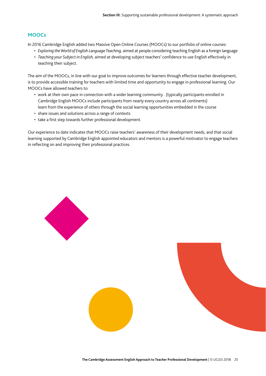#### **MOOCs**

In 2016 Cambridge English added two Massive Open Online Courses (MOOCs) to our portfolio of online courses:

- *Exploring the World of English Language Teaching,* aimed at people considering teaching English as a foreign language
- *Teaching your Subject in English,* aimed at developing subject teachers' confidence to use English effectively in teaching their subject.

The aim of the MOOCs, in line with our goal to improve outcomes for learners through effective teacher development, is to provide accessible training for teachers with limited time and opportunity to engage in professional learning. Our MOOCs have allowed teachers to:

- work at their own pace in connection with a wider learning community . (typically participants enrolled in Cambridge English MOOCs include participants from nearly every country across all continents) learn from the experience of others through the social learning opportunities embedded in the course
- share issues and solutions across a range of contexts
- take a first step towards further professional development.

Our experience to date indicates that MOOCs raise teachers' awareness of their development needs, and that social learning supported by Cambridge English appointed educators and mentors is a powerful motivator to engage teachers in reflecting on and improving their professional practices.

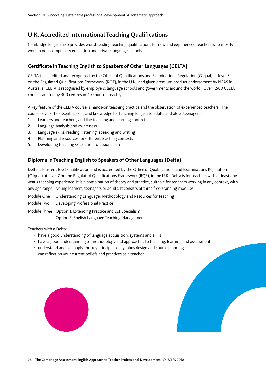## **U.K. Accredited International Teaching Qualifications**

Cambridge English also provides world-leading teaching qualifications for new and experienced teachers who mostly work in non-compulsory education and private language schools.

#### **Certificate in Teaching English to Speakers of Other Languages (CELTA)**

CELTA is accredited and recognised by the Office of Qualifications and Examinations Regulation (Ofqual) at level 5 on the Regulated Qualifications Framework (RQF), in the U.K., and given premium product endorsement by NEAS in Australia. CELTA is recognised by employers, language schools and governments around the world. Over 1,500 CELTA courses are run by 300 centres in 70 countries each year.

A key feature of the CELTA course is hands-on teaching practice and the observation of experienced teachers. The course covers the essential skills and knowledge for teaching English to adults and older teenagers:

- 1. Learners and teachers, and the teaching and learning context
- 2. Language analysis and awareness
- 3. Language skills: reading, listening, speaking and writing
- 4. Planning and resources for different teaching contexts
- 5. Developing teaching skills and professionalism

#### **Diploma in Teaching English to Speakers of Other Languages (Delta)**

Delta is Master's level qualification and is accredited by the Office of Qualifications and Examinations Regulation (Ofqual) at level 7 on the Regulated Qualifications Framework (RQF), in the U.K. Delta is for teachers with at least one year's teaching experience. It is a combination of theory and practice, suitable for teachers working in any context, with any age range – young learners, teenagers or adults. It consists of three free-standing modules:

| Module One Understanding Language, Methodology and Resources for Teaching                                      |
|----------------------------------------------------------------------------------------------------------------|
| Module Two Developing Professional Practice                                                                    |
| Module Three Option 1: Extending Practice and ELT Specialism<br>Option 2: English Language Teaching Management |

Teachers with a Delta:

- have a good understanding of language acquisition, systems and skills
- have a good understanding of methodology and approaches to teaching, learning and assessment
- understand and can apply the key principles of syllabus design and course planning
- can reflect on your current beliefs and practices as a teacher.

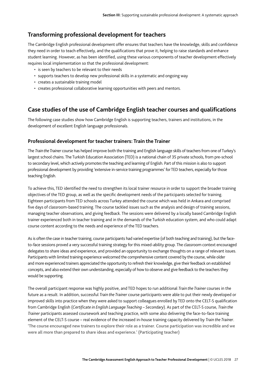### **Transforming professional development for teachers**

The Cambridge English professional development offer ensures that teachers have the knowledge, skills and confidence they need in order to teach effectively, and the qualifications that prove it, helping to raise standards and enhance student learning. However, as has been identified, using these various components of teacher development effectively requires local implementation so that the professional development:

- is seen by teachers to be relevant to their needs
- supports teachers to develop new professional skills in a systematic and ongoing way
- creates a sustainable training model
- creates professional collaborative learning opportunities with peers and mentors.

### **Case studies of the use of Cambridge English teacher courses and qualifications**

The following case studies show how Cambridge English is supporting teachers, trainers and institutions, in the development of excellent English language professionals.

#### **Professional development for teacher trainers: Train the Trainer**

The *Train the Trainer* course has helped improve both the training and English language skills of teachers from one of Turkey's largest school chains. The Turkish Education Association (TED) is a national chain of 35 private schools, from pre-school to secondary level, which actively promotes the teaching and learning of English. Part of this mission is also to support professional development by providing 'extensive in-service training programmes' for TED teachers, especially for those teaching English.

To achieve this, TED identified the need to strengthen its local trainer resource in order to support the broader training objectives of the TED group, as well as the specific development needs of the participants selected for training. Eighteen participants from TED schools across Turkey attended the course which was held in Ankara and comprised five days of classroom-based training. The course tackled issues such as the analysis and design of training sessions, managing teacher observations, and giving feedback. The sessions were delivered by a locally based Cambridge English trainer experienced both in teacher training and in the demands of the Turkish education system, and who could adapt course content according to the needs and experience of the TED teachers.

As is often the case in teacher training, course participants had varied expertise (of both teaching and training), but the faceto-face sessions proved a very successful training strategy for this mixed-ability group. The classroom context encouraged delegates to share ideas and experience, and provided an opportunity to exchange thoughts on a range of relevant issues. Participants with limited training experience welcomed the comprehensive content covered by the course, while older and more experienced trainers appreciated the opportunity to refresh their knowledge, give their feedback on established concepts, and also extend their own understanding, especially of how to observe and give feedback to the teachers they would be supporting.

The overall participant response was highly positive, and TED hopes to run additional *Train the Trainer* courses in the future as a result. In addition, successful *Train the Trainer* course participants were able to put their newly developed or improved skills into practice when they were asked to support colleagues enrolled by TED onto the CELT-S qualification from Cambridge English (*Certificate in English Language Teaching – Secondary*). As part of the CELT-S course, *Train the Trainer* participants assessed coursework and teaching practice, with some also delivering the face-to-face training element of the CELT-S course – real evidence of the increased in-house training capacity delivered by *Train the Trainer*. 'The course encouraged new trainers to explore their role as a trainer. Course participation was incredible and we were all more than prepared to share ideas and experience.' (Participating teacher)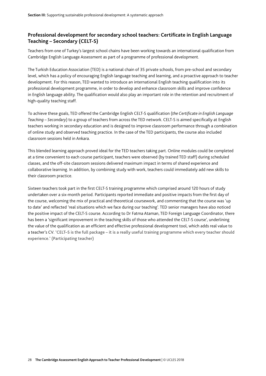### **Professional development for secondary school teachers: Certificate in English Language Teaching – Secondary (CELT-S)**

Teachers from one of Turkey's largest school chains have been working towards an international qualification from Cambridge English Language Assessment as part of a programme of professional development.

The Turkish Education Association (TED) is a national chain of 35 private schools, from pre-school and secondary level, which has a policy of encouraging English language teaching and learning, and a proactive approach to teacher development. For this reason, TED wanted to introduce an international English teaching qualification into its professional development programme, in order to develop and enhance classroom skills and improve confidence in English language ability. The qualification would also play an important role in the retention and recruitment of high-quality teaching staff.

To achieve these goals, TED offered the Cambridge English CELT-S qualification (*the Certificate in English Language Teaching – Secondary*) to a group of teachers from across the TED network. CELT-S is aimed specifically at English teachers working in secondary education and is designed to improve classroom performance through a combination of online study and observed teaching practice. In the case of the TED participants, the course also included classroom sessions held in Ankara.

This blended learning approach proved ideal for the TED teachers taking part. Online modules could be completed at a time convenient to each course participant, teachers were observed (by trained TED staff) during scheduled classes, and the off-site classroom sessions delivered maximum impact in terms of shared experience and collaborative learning. In addition, by combining study with work, teachers could immediately add new skills to their classroom practice.

Sixteen teachers took part in the first CELT-S training programme which comprised around 120 hours of study undertaken over a six-month period. Participants reported immediate and positive impacts from the first day of the course, welcoming the mix of practical and theoretical coursework, and commenting that the course was 'up to date' and reflected 'real situations which we face during our teaching'. TED senior managers have also noticed the positive impact of the CELT-S course. According to Dr Fatma Ataman, TED Foreign Language Coordinator, there has been a 'significant improvement in the teaching skills of those who attended the CELT-S course', underlining the value of the qualification as an efficient and effective professional development tool, which adds real value to a teacher's CV. 'CELT–S is the full package – it is a really useful training programme which every teacher should experience.' (Participating teacher)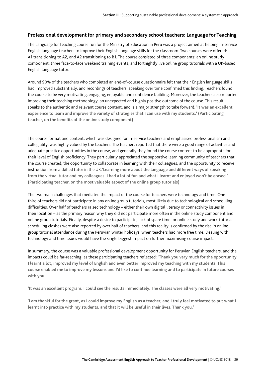#### **Professional development for primary and secondary school teachers: Language for Teaching**

The Language for Teaching course run for the Ministry of Education in Peru was a project aimed at helping in-service English language teachers to improve their English language skills for the classroom. Two courses were offered: A1 transitioning to A2, and A2 transitioning to B1. The course consisted of three components: an online study component, three face-to-face weekend training events, and fortnightly live online group tutorials with a UK-based English language tutor.

Around 90% of the teachers who completed an end-of-course questionnaire felt that their English language skills had improved substantially, and recordings of teachers' speaking over time confirmed this finding. Teachers found the course to be very motivating, engaging, enjoyable and confidence building. Moreover, the teachers also reported improving their teaching methodology, an unexpected and highly positive outcome of the course. This result speaks to the authentic and relevant course content, and is a major strength to take forward. 'It was an excellent experience to learn and improve the variety of strategies that I can use with my students.' (Participating teacher, on the benefits of the online study component)

The course format and content, which was designed for in-service teachers and emphasised professionalism and collegiality, was highly valued by the teachers. The teachers reported that there were a good range of activities and adequate practice opportunities in the course, and generally they found the course content to be appropriate for their level of English proficiency. They particularly appreciated the supportive learning community of teachers that the course created, the opportunity to collaborate in learning with their colleagues, and the opportunity to receive instruction from a skilled tutor in the UK.'Learning more about the language and different ways of speaking from the virtual tutor and my colleagues. I had a lot of fun and what I learnt and enjoyed won't be erased.' (Participating teacher, on the most valuable aspect of the online group tutorials)

The two main challenges that mediated the impact of the course for teachers were technology and time. One third of teachers did not participate in any online group tutorials, most likely due to technological and scheduling difficulties. Over half of teachers raised technology – either their own digital literacy or connectivity issues in their location – as the primary reason why they did not participate more often in the online study component and online group tutorials. Finally, despite a desire to participate, lack of spare time for online study and work-tutorial scheduling clashes were also reported by over half of teachers, and this reality is confirmed by the rise in online group tutorial attendance during the Peruvian winter holidays, when teachers had more free time. Dealing with technology and time issues would have the single biggest impact on further maximising course impact.

In summary, the course was a valuable professional development opportunity for Peruvian English teachers, and the impacts could be far-reaching, as these participating teachers reflected: 'Thank you very much for the opportunity. I learnt a lot, improved my level of English and even better improved my teaching with my students. This course enabled me to improve my lessons and I'd like to continue learning and to participate in future courses with you.'

'It was an excellent program. I could see the results immediately. The classes were all very motivating.'

'I am thankful for the grant, as I could improve my English as a teacher, and I truly feel motivated to put what I learnt into practice with my students, and that it will be useful in their lives. Thank you.'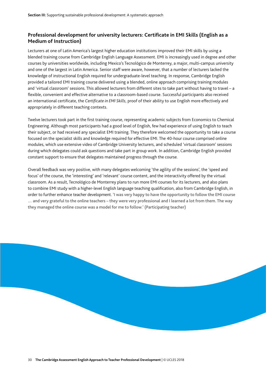#### **Professional development for university lecturers: Certificate in EMI Skills (English as a Medium of Instruction)**

Lecturers at one of Latin America's largest higher education institutions improved their EMI skills by using a blended training course from Cambridge English Language Assessment. EMI is increasingly used in degree and other courses by universities worldwide, including Mexico's Tecnológico de Monterrey, a major, multi-campus university and one of the largest in Latin America. Senior staff were aware, however, that a number of lecturers lacked the knowledge of instructional English required for undergraduate-level teaching. In response, Cambridge English provided a tailored EMI training course delivered using a blended, online approach comprising training modules and 'virtual classroom' sessions. This allowed lecturers from different sites to take part without having to travel – a flexible, convenient and effective alternative to a classroom-based course. Successful participants also received an international certificate, the *Certificate in EMI Skills*, proof of their ability to use English more effectively and appropriately in different teaching contexts.

Twelve lecturers took part in the first training course, representing academic subjects from Economics to Chemical Engineering. Although most participants had a good level of English, few had experience of using English to teach their subject, or had received any specialist EMI training. They therefore welcomed the opportunity to take a course focused on the specialist skills and knowledge required for effective EMI. The 40-hour course comprised online modules, which use extensive video of Cambridge University lecturers, and scheduled 'virtual classroom' sessions during which delegates could ask questions and take part in group work. In addition, Cambridge English provided constant support to ensure that delegates maintained progress through the course.

Overall feedback was very positive, with many delegates welcoming 'the agility of the sessions', the 'speed and focus' of the course, the 'interesting' and 'relevant' course content, and the interactivity offered by the virtual classroom. As a result, Tecnológico de Monterrey plans to run more EMI courses for its lecturers, and also plans to combine EMI study with a higher-level English language teaching qualification, also from Cambridge English, in order to further enhance teacher development. 'I was very happy to have the opportunity to follow the EMI course … and very grateful to the online teachers – they were very professional and I learned a lot from them. The way they managed the online course was a model for me to follow.' (Participating teacher)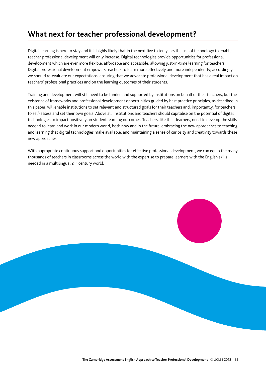## **What next for teacher professional development?**

Digital learning is here to stay and it is highly likely that in the next five to ten years the use of technology to enable teacher professional development will only increase. Digital technologies provide opportunities for professional development which are ever more flexible, affordable and accessible, allowing just-in-time learning for teachers. Digital professional development empowers teachers to learn more effectively and more independently; accordingly we should re-evaluate our expectations, ensuring that we advocate professional development that has a real impact on teachers' professional practices and on the learning outcomes of their students.

Training and development will still need to be funded and supported by institutions on behalf of their teachers, but the existence of frameworks and professional development opportunities guided by best practice principles, as described in this paper, will enable institutions to set relevant and structured goals for their teachers and, importantly, for teachers to self-assess and set their own goals. Above all, institutions and teachers should capitalise on the potential of digital technologies to impact positively on student learning outcomes. Teachers, like their learners, need to develop the skills needed to learn and work in our modern world, both now and in the future, embracing the new approaches to teaching and learning that digital technologies make available, and maintaining a sense of curiosity and creativity towards these new approaches.

With appropriate continuous support and opportunities for effective professional development, we can equip the many thousands of teachers in classrooms across the world with the expertise to prepare learners with the English skills needed in a multilingual 21<sup>st</sup> century world.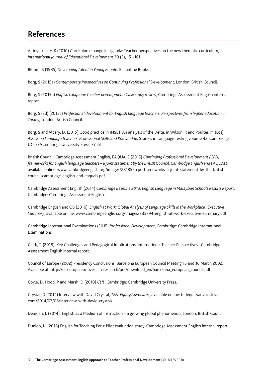## **References**

Altinyelken, H K (2010) Curriculum change in Uganda: Teacher perspectives on the new thematic curriculum, *International Journal of Educational Development* 30 (2), 151-161.

Bloom, B (1985) *Developing Talent in Young People*. Ballantine Books.

Borg, S (2015a) *Contemporary Perspectives on Continuing Professional Development*, London: British Council.

Borg, S (2015b) *English Language Teacher development: Case study review*, Cambridge Assessment English internal report.

Borg, S (Ed) (2015c) *Professional development for English language teachers: Perspectives from higher education in Turkey*, London: British Council.

Borg, S and Albery, D. (2015).Good practice in INSET: An analysis of the Delta, in Wilson, R and Poulter, M (Eds) *Assessing Language Teachers' Professional Skills and Knowledge*, Studies in Language Testing volume 42, Cambridge: UCLES/Cambridge University Press, 37-61.

British Council, Cambridge Assessment English, EAQUALS (2015) *Continuing Professional Development (CPD) frameworks for English language teachers – a joint statement by the British Council, Cambridge English and EAQUALS,*  available online: www.cambridgeenglish.org/images/281857-cpd-frameworks-a-joint-statement-by-the-britishcouncil-cambridge-english-and-eaquals.pdf

Cambridge Assessment English (2014) *Cambridge Baseline 2013: English Language in Malaysian Schools Results Report*, Cambridge: Cambridge Assessment English.

Cambridge English and QS (2016) *English at Work: Global Analysis of Language Skills in the Workplace. Executive Summary*, available online: www.cambridgeenglish.org/images/335794-english-at-work-executive-summary.pdf

Cambridge International Examinations (2015) *Professional Development*, Cambridge: Cambridge International Examinations.

Clark, T. (2018). Key Challenges and Pedagogical Implications: International Teacher Perspectives. Cambridge Assessment English internal report.

Council of Europe (2002) Presidency Conclusions, Barcelona European Council Meeting 15 and 16 March 2002. Available at http://ec.europa.eu/invest-in-research/pdf/download\_en/barcelona\_european\_council.pdf

Coyle, D, Hood, P and Marsh, D (2010) *CLIL*, Cambridge: Cambridge University Press.

Crystal, D (2014) Interview with David Crystal, *TEFL Equity Advocates*, available online: teflequityadvocates. com/2014/07/06/interview-with-david-crystal/

Dearden, J. (2014) English as a Medium of Instruction – a growing global phenomenon, London: British Council.

Dunlop, M (2016) English for Teaching Peru: Pilot evaluation study, Cambridge Assessment English internal report.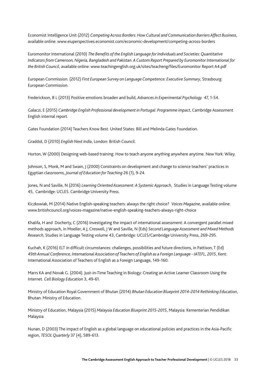Economist Intelligence Unit (2012) *Competing Across Borders: How Cultural and Communication Barriers Affect Business*, available online: www.eiuperspectives.economist.com/economic-development/competing-across-borders

Euromonitor International (2010) *The Benefits of the English Language for Individuals and Societies: Quantitative Indicators from Cameroon, Nigeria, Bangladesh and Pakistan. A Custom Report Prepared by Euromonitor International for the British Council*, available online: www.teachingenglish.org.uk/sites/teacheng/files/Euromonitor Report A4.pdf

European Commission. (2012) *First European Survey on Language Competence: Executive Summary*, Strasbourg: European Commission.

Frederickson, B L (2013) Positive emotions broaden and build, *Advances in Experimental Psychology* 47, 1-54.

Galaczi, E (2015) *Cambridge English Professional development in Portugal: Programme impact*, Cambridge Assessment English internal report.

Gates Foundation (2014) Teachers Know Best. United States: Bill and Melinda Gates Foundation.

Graddol, D (2010) *English Next India*, London: British Council.

Horton, W (2000) Designing web-based training: How to teach anyone anything anywhere anytime. New York: Wiley.

Johnson, S, Monk, M and Swain, J (2000) Constraints on development and change to science teachers' practices in Egyptian classrooms, *Journal of Education for Teaching* 26 (1), 9-24.

Jones, N and Saville, N (2016) *Learning Oriented Assessment: A Systemic Approach*, Studies in Language Testing volume 45, Cambridge: UCLES. Cambridge University Press.

Kiczkowiak, M (2014) Native English-speaking teachers: always the right choice? *Voices Magazine*, available online: www.britishcouncil.org/voices-magazine/native-english-speaking-teachers-always-right-choice

Khalifa, H and Docherty, C (2016) Investigating the impact of international assessment: A convergent parallel mixed methods approach, in Moeller, A J, Creswell, J W and Saville, N (Eds) *Second Language Assessment and Mixed Methods Research*, Studies in Language Testing volume 43, Cambridge: UCLES/Cambridge University Press, 269-295.

Kuchah, K (2016) ELT in difficult circumstances: challenges, possibilities and future directions, in Pattison, T (Ed) *49th Annual Conference, International Association of Teachers of English as a Foreign Language - IATEFL, 2015*, Kent: International Association of Teachers of English as a Foreign Language, 149-160.

Marrs KA and Novak G. (2004). Just-in-Time Teaching in Biology: Creating an Active Learner Classroom Using the Internet. *Cell Biology Education* 3, 49-61.

Ministry of Education Royal Government of Bhutan (2014) *Bhutan Education Blueprint 2014-2014 Rethinking Education*, Bhutan: Ministry of Education.

Ministry of Education, Malaysia (2015) *Malaysia Education Blueprint 2015-2015*, Malaysia: Kementerian Pendidikan Malaysia.

Nunan, D (2003) The impact of English as a global language on educational policies and practices in the Asia-Pacific region, *TESOL Quarterly* 37 (4), 589-613.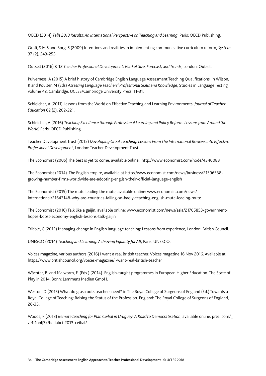OECD (2014) *Talis 2013 Results: An International Perspective on Teaching and Learning*, Paris: OECD Publishing.

Orafi, S M S and Borg, S (2009) Intentions and realities in implementing communicative curriculum reform, *System* 37 (2), 243-253.

Outsell (2016) K-12 *Teacher Professional Development: Market Size, Forecast, and Trends*, London: Outsell.

Pulverness, A (2015) A brief history of Cambridge English Language Assessment Teaching Qualifications, in Wilson, R and Poulter, M (Eds) *Assessing Language Teachers' Professional Skills and Knowledge*, Studies in Language Testing volume 42, Cambridge: UCLES/Cambridge University Press, 11-31.

Schleicher, A (2011) Lessons from the World on Effective Teaching and Learning Environments, *Journal of Teacher Education* 62 (2), 202-221.

Schleicher, A (2016) *Teaching Excellence through Professional Learning and Policy Reform: Lessons from Around the World*, Paris: OECD Publishing.

Teacher Development Trust (2015) *Developing Great Teaching. Lessons From The International Reviews into Effective Professional Development*, London: Teacher Development Trust.

The Economist (2005) The best is yet to come, available online: http://www.economist.com/node/4340083

The Economist (2014) The English empire, available at http://www.economist.com/news/business/21596538 growing-number-firms-worldwide-are-adopting-english-their-official-language-english

The Economist (2015) The mute leading the mute, available online: www.economist.com/news/ international/21643148-why-are-countries-failing-so-badly-teaching-english-mute-leading-mute

The Economist (2016) Talk like a gaijin, available online: www.economist.com/news/asia/21705853-governmenthopes-boost-economy-english-lessons-talk-gaijin

Tribble, C (2012) Managing change in English language teaching: Lessons from experience, London: British Council.

UNESCO (2014) *Teaching and Learning: Achieving Equality for All*, Paris: UNESCO.

Voices magazine, various authors (2016) I want a real British teacher. Voices magazine 16 Nov 2016. Available at https://www.britishcouncil.org/voices-magazine/i-want-real-british-teacher

Wächter, B. and Maiworm, F. (Eds.) (2014) English-taught programmes in European Higher Education. The State of Play in 2014, Bonn: Lemmens Medien GmbH.

Weston, D (2013) What do grassroots teachers need? in The Royal College of Surgeons of England (Ed.) Towards a Royal College of Teaching: Raising the Status of the Profession. England: The Royal College of Surgeons of England, 26-33.

Woods, P (2013) *Remote teaching for Plan Ceibal in Uruguay: A Road to Democratisation*, available online: prezi.com/\_ zf4f1nolj3k/bc-labci-2013-ceibal/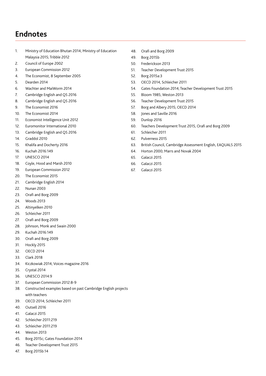## **Endnotes**

- 1. Ministry of Education Bhutan 2014; Ministry of Education Malaysia 2015; Tribble 2012
- 2. Council of Europe 2002
- 3. European Commission 2012
- 4. The Economist, 8 September 2005
- 5. Dearden 2014
- 6. Wachter and MaiWorm 2014
- 7. Cambridge English and QS 2016
- 8. Cambridge English and QS 2016
- 9. The Economist 2016
- 10. The Economist 2014
- 11. Economist Intelligence Unit 2012
- 12. Euromonitor International 2010
- 13. Cambridge English and QS 2016
- 14. Graddol 2010
- 15. Khalifa and Docherty 2016
- 16. Kuchah 2016:149
- 17. UNESCO 2014
- 18. Coyle, Hood and Marsh 2010
- 19. European Commission 2012
- 20. The Economist 2015
- 21. Cambridge English 2014
- 22. Nunan 2003
- 23. Orafi and Borg 2009
- 24. Woods 2013
- 25. Altinyelken 2010
- 26. Schleicher 2011
- 27. Orafi and Borg 2009
- 28. Johnson, Monk and Swain 2000
- 29. Kuchah 2016:149
- 30. Orafi and Borg 2009
- 31. Hockly 2015
- 32. OECD 2014
- 33. Clark 2018
- 34. Kiczkowiak 2014; Voices magazine 2016
- 35. Crystal 2014
- 36. UNESCO 2014:9
- 37. European Commission 2012:8-9
- 38. Constructed examples based on past Cambridge English projects with teachers
- 39. OECD 2014; Schleicher 2011
- 40. Outsell 2016
- 41. Galaczi 2015
- 42. Schleicher 2011:219
- 43. Schleicher 2011:219
- 44. Weston 2013
- 45. Borg 2015c; Gates Foundation 2014
- 46. Teacher Development Trust 2015
- 47. Borg 2015b:14
- 48. Orafi and Borg 2009
- 49. Borg 2015b
- 50. Frederickson 2013
- 51. Teacher Development Trust 2015
- 52. Borg 2015a:3
- 53. OECD 2014, Schleicher 2011
- 54. Gates Foundation 2014; Teacher Development Trust 2015
- 55. Bloom 1985; Weston 2013
- 56. Teacher Development Trust 2015
- 57. Borg and Albery 2015; OECD 2014
- 58. Jones and Saville 2016
- 59. Dunlop 2016
- 60. Teachers Development Trust 2015, Orafi and Borg 2009
- 61. Schleicher 2011
- 62. Pulverness 2015
- 63. British Council, Cambridge Assessment English, EAQUALS 2015
- 64. Horton 2000; Marrs and Novak 2004
- 65. Galaczi 2015
- 66. Galaczi 2015
- 67. Galaczi 2015